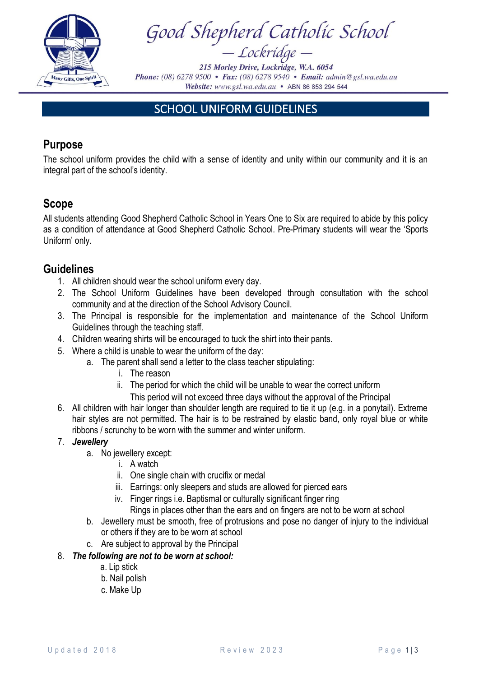

Good Shepherd Catholic School<br>- Lockridge -

215 Morley Drive, Lockridge, W.A. 6054 **Phone:** (08) 6278 9500 • Fax: (08) 6278 9540 • Email: admin@gsl.wa.edu.au Website: www.gsl.wa.edu.au • ABN 86 853 294 544

# SCHOOL UNIFORM GUIDELINES

# **Purpose**

The school uniform provides the child with a sense of identity and unity within our community and it is an integral part of the school's identity.

# **Scope**

All students attending Good Shepherd Catholic School in Years One to Six are required to abide by this policy as a condition of attendance at Good Shepherd Catholic School. Pre-Primary students will wear the 'Sports Uniform' only.

# **Guidelines**

- 1. All children should wear the school uniform every day.
- 2. The School Uniform Guidelines have been developed through consultation with the school community and at the direction of the School Advisory Council.
- 3. The Principal is responsible for the implementation and maintenance of the School Uniform Guidelines through the teaching staff.
- 4. Children wearing shirts will be encouraged to tuck the shirt into their pants.
- 5. Where a child is unable to wear the uniform of the day:
	- a. The parent shall send a letter to the class teacher stipulating:
		- i. The reason
		- ii. The period for which the child will be unable to wear the correct uniform
			- This period will not exceed three days without the approval of the Principal
- 6. All children with hair longer than shoulder length are required to tie it up (e.g. in a ponytail). Extreme hair styles are not permitted. The hair is to be restrained by elastic band, only royal blue or white ribbons / scrunchy to be worn with the summer and winter uniform.

# 7. *Jewellery*

- a. No jewellery except:
	- i. A watch
	- ii. One single chain with crucifix or medal
	- iii. Earrings: only sleepers and studs are allowed for pierced ears
	- iv. Finger rings i.e. Baptismal or culturally significant finger ring
		- Rings in places other than the ears and on fingers are not to be worn at school
- b. Jewellery must be smooth, free of protrusions and pose no danger of injury to the individual or others if they are to be worn at school
- c. Are subject to approval by the Principal
- 8. *The following are not to be worn at school:* 
	- a. Lip stick
	- b. Nail polish
	- c. Make Up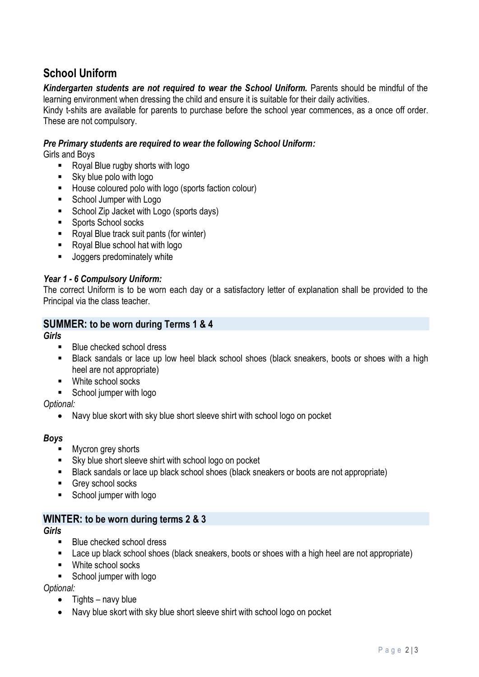# **School Uniform**

Kindergarten students are not required to wear the School Uniform. Parents should be mindful of the learning environment when dressing the child and ensure it is suitable for their daily activities.

Kindy t-shits are available for parents to purchase before the school year commences, as a once off order. These are not compulsory.

## *Pre Primary students are required to wear the following School Uniform:*

Girls and Boys

- Royal Blue rugby shorts with logo
- Sky blue polo with logo
- House coloured polo with logo (sports faction colour)
- School Jumper with Logo
- School Zip Jacket with Logo (sports days)
- Sports School socks
- Royal Blue track suit pants (for winter)
- Royal Blue school hat with logo
- Joggers predominately white

### *Year 1 - 6 Compulsory Uniform:*

The correct Uniform is to be worn each day or a satisfactory letter of explanation shall be provided to the Principal via the class teacher.

## **SUMMER: to be worn during Terms 1 & 4**

#### *Girls*

- Blue checked school dress
- Black sandals or lace up low heel black school shoes (black sneakers, boots or shoes with a high heel are not appropriate)
- White school socks
- School jumper with logo

*Optional:* 

• Navy blue skort with sky blue short sleeve shirt with school logo on pocket

#### *Boys*

- Mycron grey shorts
- Sky blue short sleeve shirt with school logo on pocket
- Black sandals or lace up black school shoes (black sneakers or boots are not appropriate)
- Grey school socks
- School jumper with logo

## **WINTER: to be worn during terms 2 & 3**

*Girls* 

- Blue checked school dress
- Lace up black school shoes (black sneakers, boots or shoes with a high heel are not appropriate)
- White school socks
- School jumper with logo

*Optional:* 

- Tights navy blue
- Navy blue skort with sky blue short sleeve shirt with school logo on pocket